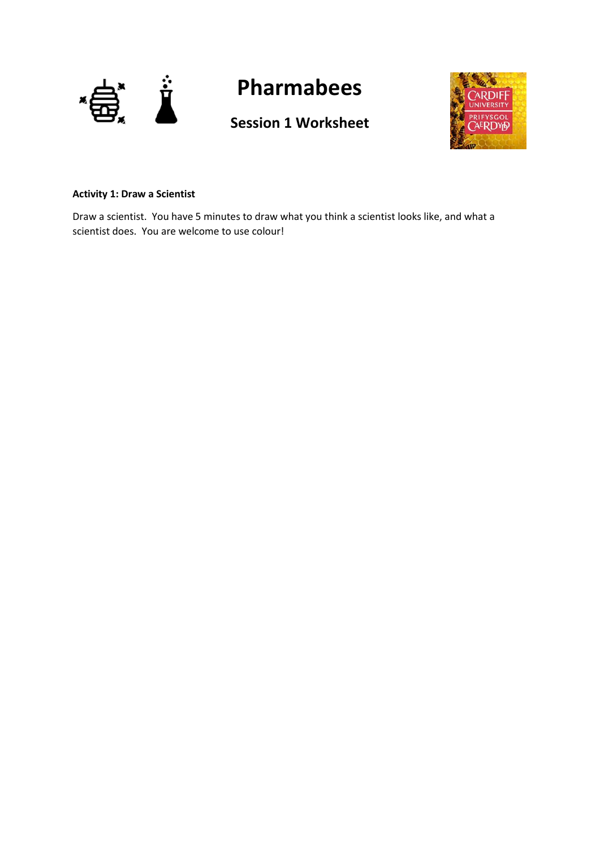

# **Pharmabees**

## **Session 1 Worksheet**



### **Activity 1: Draw a Scientist**

Draw a scientist. You have 5 minutes to draw what you think a scientist looks like, and what a scientist does. You are welcome to use colour!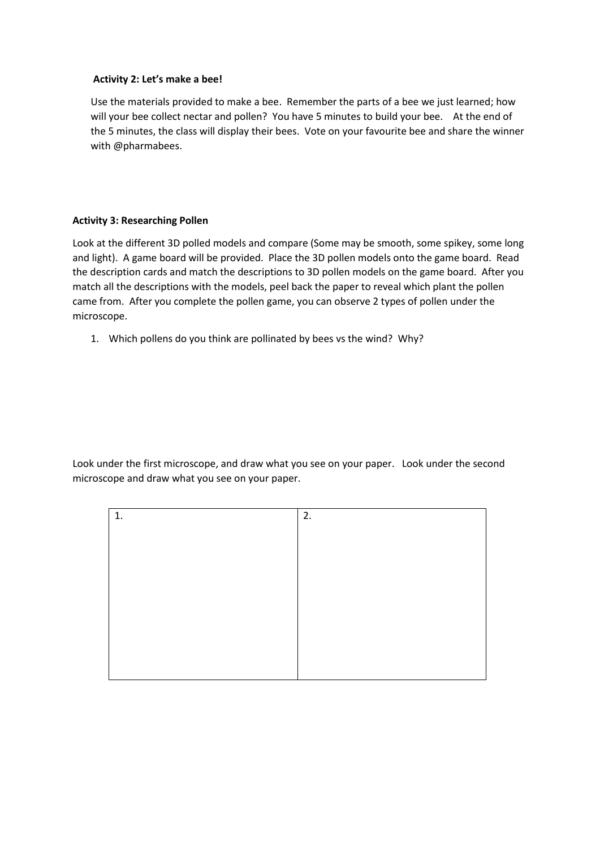#### **Activity 2: Let's make a bee!**

Use the materials provided to make a bee. Remember the parts of a bee we just learned; how will your bee collect nectar and pollen? You have 5 minutes to build your bee. At the end of the 5 minutes, the class will display their bees. Vote on your favourite bee and share the winner with @pharmabees.

#### **Activity 3: Researching Pollen**

Look at the different 3D polled models and compare (Some may be smooth, some spikey, some long and light). A game board will be provided. Place the 3D pollen models onto the game board. Read the description cards and match the descriptions to 3D pollen models on the game board. After you match all the descriptions with the models, peel back the paper to reveal which plant the pollen came from. After you complete the pollen game, you can observe 2 types of pollen under the microscope.

1. Which pollens do you think are pollinated by bees vs the wind? Why?

Look under the first microscope, and draw what you see on your paper. Look under the second microscope and draw what you see on your paper.

| 1. | 2. |
|----|----|
|    |    |
|    |    |
|    |    |
|    |    |
|    |    |
|    |    |
|    |    |
|    |    |